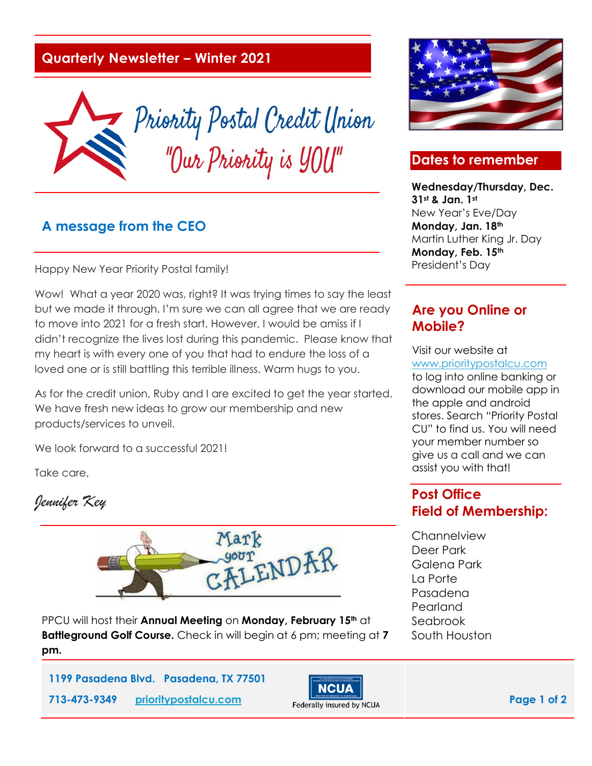### **Quarterly Newsletter – Winter 2021**



#### **A message from the CEO**

Happy New Year Priority Postal family!

Wow! What a year 2020 was, right? It was trying times to say the least but we made it through. I'm sure we can all agree that we are ready to move into 2021 for a fresh start. However, I would be amiss if I didn't recognize the lives lost during this pandemic. Please know that my heart is with every one of you that had to endure the loss of a loved one or is still battling this terrible illness. Warm hugs to you.

As for the credit union, Ruby and I are excited to get the year started. We have fresh new ideas to grow our membership and new products/services to unveil.

We look forward to a successful 2021!

Take care,

*Jennifer Key* 



PPCU will host their **Annual Meeting** on **Monday, February 15th** at **Battleground Golf Course.** Check in will begin at 6 pm; meeting at **7 pm.** 







### **Dates to remember**

**Wednesday/Thursday, Dec. 31st & Jan. 1st** New Year's Eve/Day **Monday, Jan. 18th** Martin Luther King Jr. Day **Monday, Feb. 15th** President's Day

### **Are you Online or Mobile?**

Visit our website at [www.prioritypostalcu.com](http://www.prioritypostalcu.com/) to log into online banking or download our mobile app in the apple and android stores. Search "Priority Postal CU" to find us. You will need your member number so give us a call and we can assist you with that!

### **Post Office Field of Membership:**

**Channelview** Deer Park Galena Park La Porte Pasadena Pearland Seabrook South Houston